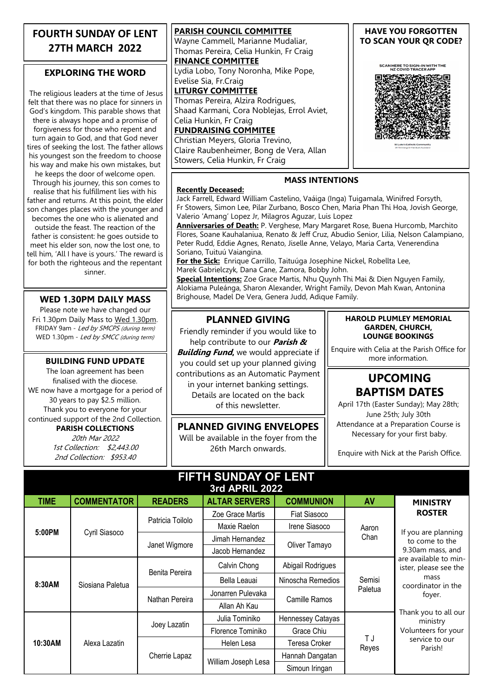#### **FOURTH SUNDAY OF LENT 27TH MARCH 2022**

#### **EXPLORING THE WORD**

The religious leaders at the time of Jesus felt that there was no place for sinners in God's kingdom. This parable shows that there is always hope and a promise of forgiveness for those who repent and turn again to God, and that God never tires of seeking the lost. The father allows his youngest son the freedom to choose his way and make his own mistakes, but he keeps the door of welcome open. Through his journey, this son comes to realise that his fulfillment lies with his father and returns. At this point, the elder son changes places with the younger and becomes the one who is alienated and outside the feast. The reaction of the father is consistent: he goes outside to meet his elder son, now the lost one, to tell him, 'All I have is yours.' The reward is for both the righteous and the repentant sinner.

#### **WED 1.30PM DAILY MASS**

Please note we have changed our Fri 1.30pm Daily Mass to Wed 1.30pm. FRIDAY 9am - Led by SMCPS (during term) WED 1.30pm - Led by SMCC (during term)

The loan agreement has been finalised with the diocese. WE now have a mortgage for a period of 30 years to pay \$2.5 million. Thank you to everyone for your continued support of the 2nd Collection. **PARISH COLLECTIONS**

20th Mar 2022 1st Collection: \$2,443.00 2nd Collection: \$953.40

**PARISH COUNCIL COMMITTEE** Wayne Cammell, Marianne Mudaliar, Thomas Pereira, Celia Hunkin, Fr Craig **FINANCE COMMITTEE** Lydia Lobo, Tony Noronha, Mike Pope, Evelise Sia, Fr.Craig **LITURGY COMMITTEE** Thomas Pereira, Alzira Rodrigues, Shaad Karmani, Cora Noblejas, Errol Aviet, Celia Hunkin, Fr Craig **FUNDRAISING COMMITEE**

Christian Meyers, Gloria Trevino, Claire Raubenheimer, Bong de Vera, Allan Stowers, Celia Hunkin, Fr Craig

**Recently Deceased:**

#### **HAVE YOU FORGOTTEN TO SCAN YOUR QR CODE?**

SCAN HERE TO SIGN-IN WITH THE<br>NZ COVID TRACER APP



#### **MASS INTENTIONS**

Jack Farrell, Edward William Castelino, Vaáiga (Inga) Tuigamala, Winifred Forsyth, Fr Stowers, Simon Lee, Pilar Zurbano, Bosco Chen, Maria Phan Thi Hoa, Jovish George, Valerio 'Amang' Lopez Jr, Milagros Aguzar, Luis Lopez

**Anniversaries of Death:** P. Verghese, Mary Margaret Rose, Buena Hurcomb, Marchito Flores, Soane Kauhalaniua, Renato & Jeff Cruz, Abudio Senior, Lilia, Nelson Calampiano, Peter Rudd, Eddie Agnes, Renato, Jiselle Anne, Velayo, Maria Carta, Venerendina Soriano, Tuituú Vaiangina.

**For the Sick:** Enrique Carrillo, Taituúga Josephine Nickel, Robellta Lee, Marek Gabrielczyk, Dana Cane, Zamora, Bobby John.

**Special Intentions:** Zoe Grace Martis, Nhu Quynh Thi Mai & Dien Nguyen Family, Alokiama Puleánga, Sharon Alexander, Wright Family, Devon Mah Kwan, Antonina Brighouse, Madel De Vera, Genera Judd, Adique Family.

#### **PLANNED GIVING**

Friendly reminder if you would like to help contribute to our **Parish &** 

**BUILDING FUND UPDATE**  $\begin{bmatrix} 1 & 2 & 3 & 4 & 5 & 6 \\ 0 & 3 & 0 & 6 & 6 \\ 0 & 0 & 0 & 1 & 6 \end{bmatrix}$  you could set up your planned giving **Building Fund,** we would appreciate if contributions as an Automatic Payment in your internet banking settings. Details are located on the back of this newsletter.

> **PLANNED GIVING ENVELOPES** Will be available in the foyer from the 26th March onwards.

#### **HAROLD PLUMLEY MEMORIAL GARDEN, CHURCH, LOUNGE BOOKINGS**

Enquire with Celia at the Parish Office for

# **UPCOMING BAPTISM DATES**

April 17th (Easter Sunday); May 28th; June 25th; July 30th Attendance at a Preparation Course is Necessary for your first baby.

Enquire with Nick at the Parish Office.

#### **FIFTH SUNDAY OF LENT 3rd APRIL 2022**

|             | JIU AFNIL 4944     |                  |                      |                   |                   |                                                                                                                                                                                                                                             |
|-------------|--------------------|------------------|----------------------|-------------------|-------------------|---------------------------------------------------------------------------------------------------------------------------------------------------------------------------------------------------------------------------------------------|
| <b>TIME</b> | <b>COMMENTATOR</b> | <b>READERS</b>   | <b>ALTAR SERVERS</b> | <b>COMMUNION</b>  | AV                | <b>MINISTRY</b>                                                                                                                                                                                                                             |
| 5:00PM      | Cyril Siasoco      | Patricia Toilolo | Zoe Grace Martis     | Fiat Siasoco      | Aaron<br>Chan     | <b>ROSTER</b>                                                                                                                                                                                                                               |
|             |                    |                  | Maxie Raelon         | Irene Siasoco     |                   | If you are planning<br>to come to the<br>9.30am mass, and<br>are available to min-<br>ister, please see the<br>mass<br>coordinator in the<br>foyer.<br>Thank you to all our<br>ministry<br>Volunteers for your<br>service to our<br>Parish! |
|             |                    | Janet Wigmore    | Jimah Hernandez      | Oliver Tamayo     |                   |                                                                                                                                                                                                                                             |
|             |                    |                  | Jacob Hernandez      |                   |                   |                                                                                                                                                                                                                                             |
| 8:30AM      | Siosiana Paletua   | Benita Pereira   | Calvin Chong         | Abigail Rodrigues | Semisi<br>Paletua |                                                                                                                                                                                                                                             |
|             |                    |                  | Bella Leauai         | Ninoscha Remedios |                   |                                                                                                                                                                                                                                             |
|             |                    | Nathan Pereira   | Jonarren Pulevaka    | Camille Ramos     |                   |                                                                                                                                                                                                                                             |
|             |                    |                  | Allan Ah Kau         |                   |                   |                                                                                                                                                                                                                                             |
| 10:30AM     | Alexa Lazatin      | Joey Lazatin     | Julia Tominiko       | Hennessey Catayas | ΤJ<br>Reyes       |                                                                                                                                                                                                                                             |
|             |                    |                  | Florence Tominiko    | Grace Chiu        |                   |                                                                                                                                                                                                                                             |
|             |                    | Cherrie Lapaz    | Helen Lesa           | Teresa Croker     |                   |                                                                                                                                                                                                                                             |
|             |                    |                  | William Joseph Lesa  | Hannah Dangatan   |                   |                                                                                                                                                                                                                                             |
|             |                    |                  |                      | Simoun Iringan    |                   |                                                                                                                                                                                                                                             |